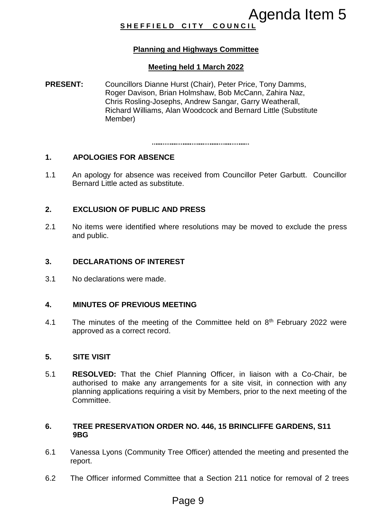# **SHEFFIELD CITY COUNCI**

# **Planning and Highways Committee**

#### **Meeting held 1 March 2022**

**PRESENT:** Councillors Dianne Hurst (Chair), Peter Price, Tony Damms, Roger Davison, Brian Holmshaw, Bob McCann, Zahira Naz, Chris Rosling-Josephs, Andrew Sangar, Garry Weatherall, Richard Williams, Alan Woodcock and Bernard Little (Substitute Member) **Agenda Item 5**<br> **Agenda Item 5**<br> **Agenda Item 5**<br> **Agenda Item 5**<br> **Agenda Item 5**<br> **Agenda Item 7**<br> **Agenda Item 7**<br> **Agenda Item 7**<br> **Agenda Item 7**<br> **Agenda Item 8**<br> **Agenda Item 8**<br> **Agenda Item 8**<br> **Agenda Item 8**<br>

# **1. APOLOGIES FOR ABSENCE**

1.1 An apology for absence was received from Councillor Peter Garbutt. Councillor Bernard Little acted as substitute.

# **2. EXCLUSION OF PUBLIC AND PRESS**

2.1 No items were identified where resolutions may be moved to exclude the press and public.

### **3. DECLARATIONS OF INTEREST**

3.1 No declarations were made.

### **4. MINUTES OF PREVIOUS MEETING**

4.1 The minutes of the meeting of the Committee held on  $8<sup>th</sup>$  February 2022 were approved as a correct record.

#### **5. SITE VISIT**

5.1 **RESOLVED:** That the Chief Planning Officer, in liaison with a Co-Chair, be authorised to make any arrangements for a site visit, in connection with any planning applications requiring a visit by Members, prior to the next meeting of the Committee.

### **6. TREE PRESERVATION ORDER NO. 446, 15 BRINCLIFFE GARDENS, S11 9BG**

- 6.1 Vanessa Lyons (Community Tree Officer) attended the meeting and presented the report.
- 6.2 The Officer informed Committee that a Section 211 notice for removal of 2 trees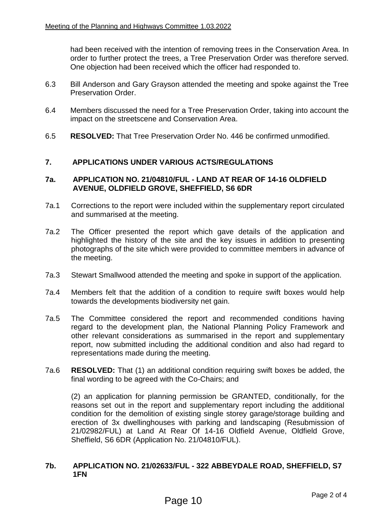had been received with the intention of removing trees in the Conservation Area. In order to further protect the trees, a Tree Preservation Order was therefore served. One objection had been received which the officer had responded to.

- 6.3 Bill Anderson and Gary Grayson attended the meeting and spoke against the Tree Preservation Order.
- 6.4 Members discussed the need for a Tree Preservation Order, taking into account the impact on the streetscene and Conservation Area.
- 6.5 **RESOLVED:** That Tree Preservation Order No. 446 be confirmed unmodified.

# **7. APPLICATIONS UNDER VARIOUS ACTS/REGULATIONS**

#### **7a. APPLICATION NO. 21/04810/FUL - LAND AT REAR OF 14-16 OLDFIELD AVENUE, OLDFIELD GROVE, SHEFFIELD, S6 6DR**

- 7a.1 Corrections to the report were included within the supplementary report circulated and summarised at the meeting.
- 7a.2 The Officer presented the report which gave details of the application and highlighted the history of the site and the key issues in addition to presenting photographs of the site which were provided to committee members in advance of the meeting.
- 7a.3 Stewart Smallwood attended the meeting and spoke in support of the application.
- 7a.4 Members felt that the addition of a condition to require swift boxes would help towards the developments biodiversity net gain.
- 7a.5 The Committee considered the report and recommended conditions having regard to the development plan, the National Planning Policy Framework and other relevant considerations as summarised in the report and supplementary report, now submitted including the additional condition and also had regard to representations made during the meeting.
- 7a.6 **RESOLVED:** That (1) an additional condition requiring swift boxes be added, the final wording to be agreed with the Co-Chairs; and

(2) an application for planning permission be GRANTED, conditionally, for the reasons set out in the report and supplementary report including the additional condition for the demolition of existing single storey garage/storage building and erection of 3x dwellinghouses with parking and landscaping (Resubmission of 21/02982/FUL) at Land At Rear Of 14-16 Oldfield Avenue, Oldfield Grove, Sheffield, S6 6DR (Application No. 21/04810/FUL).

# **7b. APPLICATION NO. 21/02633/FUL - 322 ABBEYDALE ROAD, SHEFFIELD, S7 1FN**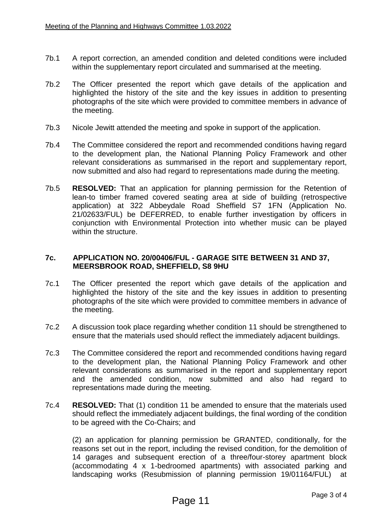- 7b.1 A report correction, an amended condition and deleted conditions were included within the supplementary report circulated and summarised at the meeting.
- 7b.2 The Officer presented the report which gave details of the application and highlighted the history of the site and the key issues in addition to presenting photographs of the site which were provided to committee members in advance of the meeting.
- 7b.3 Nicole Jewitt attended the meeting and spoke in support of the application.
- 7b.4 The Committee considered the report and recommended conditions having regard to the development plan, the National Planning Policy Framework and other relevant considerations as summarised in the report and supplementary report, now submitted and also had regard to representations made during the meeting.
- 7b.5 **RESOLVED:** That an application for planning permission for the Retention of lean-to timber framed covered seating area at side of building (retrospective application) at 322 Abbeydale Road Sheffield S7 1FN (Application No. 21/02633/FUL) be DEFERRED, to enable further investigation by officers in conjunction with Environmental Protection into whether music can be played within the structure.

### **7c. APPLICATION NO. 20/00406/FUL - GARAGE SITE BETWEEN 31 AND 37, MEERSBROOK ROAD, SHEFFIELD, S8 9HU**

- 7c.1 The Officer presented the report which gave details of the application and highlighted the history of the site and the key issues in addition to presenting photographs of the site which were provided to committee members in advance of the meeting.
- 7c.2 A discussion took place regarding whether condition 11 should be strengthened to ensure that the materials used should reflect the immediately adjacent buildings.
- 7c.3 The Committee considered the report and recommended conditions having regard to the development plan, the National Planning Policy Framework and other relevant considerations as summarised in the report and supplementary report and the amended condition, now submitted and also had regard to representations made during the meeting.
- 7c.4 **RESOLVED:** That (1) condition 11 be amended to ensure that the materials used should reflect the immediately adjacent buildings, the final wording of the condition to be agreed with the Co-Chairs; and

(2) an application for planning permission be GRANTED, conditionally, for the reasons set out in the report, including the revised condition, for the demolition of 14 garages and subsequent erection of a three/four-storey apartment block (accommodating 4 x 1-bedroomed apartments) with associated parking and landscaping works (Resubmission of planning permission 19/01164/FUL) at